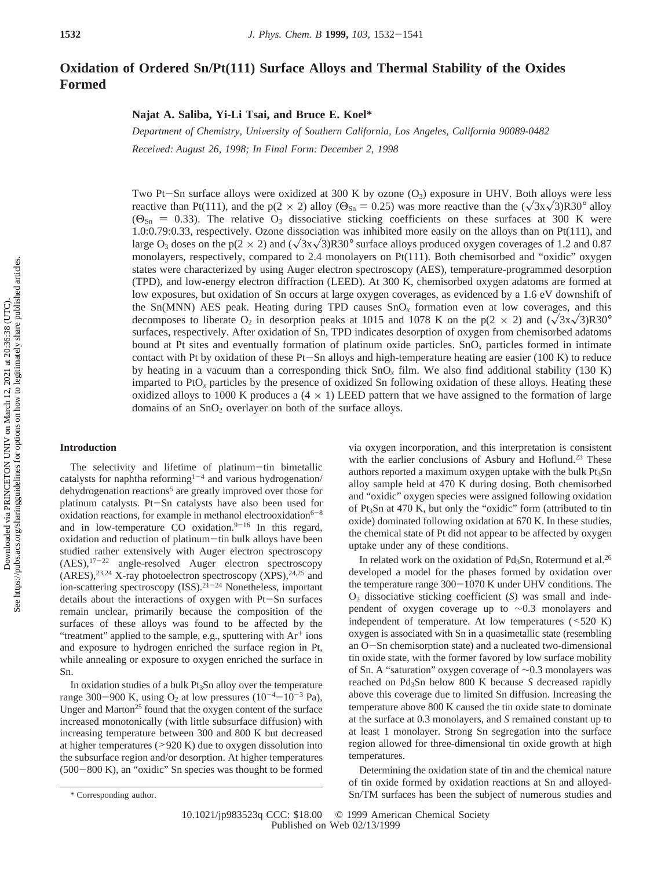# **Oxidation of Ordered Sn/Pt(111) Surface Alloys and Thermal Stability of the Oxides Formed**

## **Najat A. Saliba, Yi-Li Tsai, and Bruce E. Koel\***

*Department of Chemistry, Uni*V*ersity of Southern California, Los Angeles, California 90089-0482 Recei*V*ed: August 26, 1998; In Final Form: December 2, 1998*

Two Pt-Sn surface alloys were oxidized at 300 K by ozone  $(O_3)$  exposure in UHV. Both alloys were less reactive than Pt(111), and the p(2  $\times$  2) alloy ( $\Theta_{\text{Sn}} = 0.25$ ) was more reactive than the ( $\sqrt{3}x\sqrt{3}$ )R30° alloy  $(\Theta_{\text{Sn}} = 0.33)$ . The relative O<sub>3</sub> dissociative sticking coefficients on these surfaces at 300 K were 1.0:0.79:0.33, respectively. Ozone dissociation was inhibited more easily on the alloys than on Pt(111), and large O<sub>3</sub> doses on the p( $2 \times 2$ ) and  $(\sqrt{3}x\sqrt{3})R30^\circ$  surface alloys produced oxygen coverages of 1.2 and 0.87 monolayers, respectively, compared to 2.4 monolayers on Pt(111). Both chemisorbed and "oxidic" oxygen states were characterized by using Auger electron spectroscopy (AES), temperature-programmed desorption (TPD), and low-energy electron diffraction (LEED). At 300 K, chemisorbed oxygen adatoms are formed at low exposures, but oxidation of Sn occurs at large oxygen coverages, as evidenced by a 1.6 eV downshift of the Sn(MNN) AES peak. Heating during TPD causes SnO*<sup>x</sup>* formation even at low coverages, and this decomposes to liberate O<sub>2</sub> in desorption peaks at 1015 and 1078 K on the p( $2 \times 2$ ) and  $(\sqrt{3x}\sqrt{3})R30^\circ$ surfaces, respectively. After oxidation of Sn, TPD indicates desorption of oxygen from chemisorbed adatoms bound at Pt sites and eventually formation of platinum oxide particles. SnO*<sup>x</sup>* particles formed in intimate contact with Pt by oxidation of these Pt-Sn alloys and high-temperature heating are easier (100 K) to reduce by heating in a vacuum than a corresponding thick SnO*<sup>x</sup>* film. We also find additional stability (130 K) imparted to PtO<sub>x</sub> particles by the presence of oxidized Sn following oxidation of these alloys. Heating these oxidized alloys to 1000 K produces a  $(4 \times 1)$  LEED pattern that we have assigned to the formation of large domains of an  $SnO<sub>2</sub>$  overlayer on both of the surface alloys.

### **Introduction**

The selectivity and lifetime of platinum-tin bimetallic catalysts for naphtha reforming<sup>1-4</sup> and various hydrogenation/ dehydrogenation reactions<sup>5</sup> are greatly improved over those for platinum catalysts. Pt-Sn catalysts have also been used for oxidation reactions, for example in methanol electrooxidation<sup>6-8</sup> and in low-temperature CO oxidation. $9-16$  In this regard, oxidation and reduction of platinum-tin bulk alloys have been studied rather extensively with Auger electron spectroscopy (AES),17-<sup>22</sup> angle-resolved Auger electron spectroscopy  $(ARES),^{23,24}$  X-ray photoelectron spectroscopy  $(XPS),^{24,25}$  and ion-scattering spectroscopy  $(ISS).^{2\overline{1}-24}$  Nonetheless, important details about the interactions of oxygen with Pt-Sn surfaces remain unclear, primarily because the composition of the surfaces of these alloys was found to be affected by the "treatment" applied to the sample, e.g., sputtering with  $Ar^+$  ions and exposure to hydrogen enriched the surface region in Pt, while annealing or exposure to oxygen enriched the surface in Sn.

In oxidation studies of a bulk Pt3Sn alloy over the temperature range 300-900 K, using  $O_2$  at low pressures (10<sup>-4</sup>-10<sup>-3</sup> Pa), Unger and Marton<sup>25</sup> found that the oxygen content of the surface increased monotonically (with little subsurface diffusion) with increasing temperature between 300 and 800 K but decreased at higher temperatures  $(>920 K)$  due to oxygen dissolution into the subsurface region and/or desorption. At higher temperatures (500-800 K), an "oxidic" Sn species was thought to be formed via oxygen incorporation, and this interpretation is consistent with the earlier conclusions of Asbury and Hoflund.<sup>23</sup> These authors reported a maximum oxygen uptake with the bulk Pt<sub>3</sub>Sn alloy sample held at 470 K during dosing. Both chemisorbed and "oxidic" oxygen species were assigned following oxidation of Pt3Sn at 470 K, but only the "oxidic" form (attributed to tin oxide) dominated following oxidation at 670 K. In these studies, the chemical state of Pt did not appear to be affected by oxygen uptake under any of these conditions.

In related work on the oxidation of  $Pd<sub>3</sub>Sn$ , Rotermund et al.<sup>26</sup> developed a model for the phases formed by oxidation over the temperature range  $300-1070$  K under UHV conditions. The O2 dissociative sticking coefficient (*S*) was small and independent of oxygen coverage up to ∼0.3 monolayers and independent of temperature. At low temperatures (<520 K) oxygen is associated with Sn in a quasimetallic state (resembling an O-Sn chemisorption state) and a nucleated two-dimensional tin oxide state, with the former favored by low surface mobility of Sn. A "saturation" oxygen coverage of ∼0.3 monolayers was reached on Pd3Sn below 800 K because *S* decreased rapidly above this coverage due to limited Sn diffusion. Increasing the temperature above 800 K caused the tin oxide state to dominate at the surface at 0.3 monolayers, and *S* remained constant up to at least 1 monolayer. Strong Sn segregation into the surface region allowed for three-dimensional tin oxide growth at high temperatures.

Determining the oxidation state of tin and the chemical nature of tin oxide formed by oxidation reactions at Sn and alloyed- \* Corresponding author. Sn/TM surfaces has been the subject of numerous studies and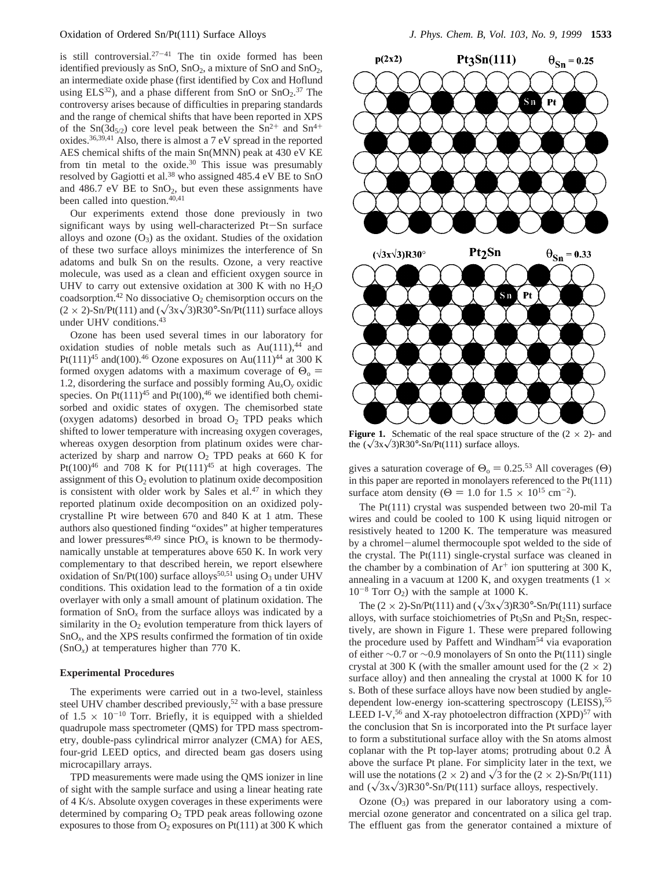is still controversial. $27-41$  The tin oxide formed has been identified previously as  $SnO$ ,  $SnO<sub>2</sub>$ , a mixture of  $SnO$  and  $SnO<sub>2</sub>$ , an intermediate oxide phase (first identified by Cox and Hoflund using  $ELS<sup>32</sup>$ ), and a phase different from SnO or SnO<sub>2</sub>.<sup>37</sup> The controversy arises because of difficulties in preparing standards and the range of chemical shifts that have been reported in XPS of the Sn(3d<sub>5/2</sub>) core level peak between the Sn<sup>2+</sup> and Sn<sup>4+</sup> oxides.36,39,41 Also, there is almost a 7 eV spread in the reported AES chemical shifts of the main Sn(MNN) peak at 430 eV KE from tin metal to the oxide.<sup>30</sup> This issue was presumably resolved by Gagiotti et al.38 who assigned 485.4 eV BE to SnO and 486.7 eV BE to  $SnO<sub>2</sub>$ , but even these assignments have been called into question.<sup>40,41</sup>

Our experiments extend those done previously in two significant ways by using well-characterized Pt-Sn surface alloys and ozone  $(O_3)$  as the oxidant. Studies of the oxidation of these two surface alloys minimizes the interference of Sn adatoms and bulk Sn on the results. Ozone, a very reactive molecule, was used as a clean and efficient oxygen source in UHV to carry out extensive oxidation at 300 K with no  $H_2O$ coadsorption.<sup>42</sup> No dissociative  $O_2$  chemisorption occurs on the  $(2 \times 2)$ -Sn/Pt(111) and  $(\sqrt{3}x\sqrt{3})R30^\circ$ -Sn/Pt(111) surface alloys under UHV conditions.43

Ozone has been used several times in our laboratory for oxidation studies of noble metals such as  $Au(111),<sup>44</sup>$  and Pt(111)<sup>45</sup> and(100).<sup>46</sup> Ozone exposures on Au(111)<sup>44</sup> at 300 K formed oxygen adatoms with a maximum coverage of  $\Theta$ <sub>o</sub> = 1.2, disordering the surface and possibly forming Au*x*O*<sup>y</sup>* oxidic species. On  $Pt(111)^{45}$  and  $Pt(100)^{46}$  we identified both chemisorbed and oxidic states of oxygen. The chemisorbed state (oxygen adatoms) desorbed in broad  $O<sub>2</sub>$  TPD peaks which shifted to lower temperature with increasing oxygen coverages, whereas oxygen desorption from platinum oxides were characterized by sharp and narrow  $O_2$  TPD peaks at 660 K for Pt(100)<sup>46</sup> and 708 K for Pt(111)<sup>45</sup> at high coverages. The assignment of this  $O_2$  evolution to platinum oxide decomposition is consistent with older work by Sales et  $al^{47}$  in which they reported platinum oxide decomposition on an oxidized polycrystalline Pt wire between 670 and 840 K at 1 atm. These authors also questioned finding "oxides" at higher temperatures and lower pressures<sup>48,49</sup> since  $P<sup>t</sup>O<sub>x</sub>$  is known to be thermodynamically unstable at temperatures above 650 K. In work very complementary to that described herein, we report elsewhere oxidation of Sn/Pt(100) surface alloys<sup>50,51</sup> using  $O_3$  under UHV conditions. This oxidation lead to the formation of a tin oxide overlayer with only a small amount of platinum oxidation. The formation of  $SnO<sub>x</sub>$  from the surface alloys was indicated by a similarity in the  $O_2$  evolution temperature from thick layers of SnO*x*, and the XPS results confirmed the formation of tin oxide  $(SnO<sub>x</sub>)$  at temperatures higher than 770 K.

# **Experimental Procedures**

The experiments were carried out in a two-level, stainless steel UHV chamber described previously,<sup>52</sup> with a base pressure of  $1.5 \times 10^{-10}$  Torr. Briefly, it is equipped with a shielded quadrupole mass spectrometer (QMS) for TPD mass spectrometry, double-pass cylindrical mirror analyzer (CMA) for AES, four-grid LEED optics, and directed beam gas dosers using microcapillary arrays.

TPD measurements were made using the QMS ionizer in line of sight with the sample surface and using a linear heating rate of 4 K/s. Absolute oxygen coverages in these experiments were determined by comparing  $O_2$  TPD peak areas following ozone exposures to those from  $O_2$  exposures on Pt(111) at 300 K which



**Figure 1.** Schematic of the real space structure of the  $(2 \times 2)$ - and the  $(\sqrt{3}x\sqrt{3})R30^\circ$ -Sn/Pt(111) surface alloys.

gives a saturation coverage of  $\Theta_0 = 0.25^{53}$  All coverages ( $\Theta$ ) in this paper are reported in monolayers referenced to the Pt(111) surface atom density ( $\Theta = 1.0$  for  $1.5 \times 10^{15}$  cm<sup>-2</sup>).

The Pt(111) crystal was suspended between two 20-mil Ta wires and could be cooled to 100 K using liquid nitrogen or resistively heated to 1200 K. The temperature was measured by a chromel-alumel thermocouple spot welded to the side of the crystal. The Pt(111) single-crystal surface was cleaned in the chamber by a combination of  $Ar^+$  ion sputtering at 300 K, annealing in a vacuum at 1200 K, and oxygen treatments  $(1 \times$  $10^{-8}$  Torr O<sub>2</sub>) with the sample at 1000 K.

The  $(2 \times 2)$ -Sn/Pt(111) and  $(\sqrt{3}x\sqrt{3})R30^\circ$ -Sn/Pt(111) surface alloys, with surface stoichiometries of  $Pt<sub>3</sub>Sn$  and  $Pt<sub>2</sub>Sn$ , respectively, are shown in Figure 1. These were prepared following the procedure used by Paffett and Windham<sup>54</sup> via evaporation of either ∼0.7 or ∼0.9 monolayers of Sn onto the Pt(111) single crystal at 300 K (with the smaller amount used for the  $(2 \times 2)$ ) surface alloy) and then annealing the crystal at 1000 K for 10 s. Both of these surface alloys have now been studied by angledependent low-energy ion-scattering spectroscopy (LEISS),<sup>55</sup> LEED I-V,<sup>56</sup> and X-ray photoelectron diffraction  $(XPD)^{57}$  with the conclusion that Sn is incorporated into the Pt surface layer to form a substitutional surface alloy with the Sn atoms almost coplanar with the Pt top-layer atoms; protruding about 0.2 Å above the surface Pt plane. For simplicity later in the text, we will use the notations (2  $\times$  2) and  $\sqrt{3}$  for the (2  $\times$  2)-Sn/Pt(111) and  $(\sqrt{3}x\sqrt{3})R30^\circ-Sn/Pt(111)$  surface alloys, respectively.

Ozone  $(O_3)$  was prepared in our laboratory using a commercial ozone generator and concentrated on a silica gel trap. The effluent gas from the generator contained a mixture of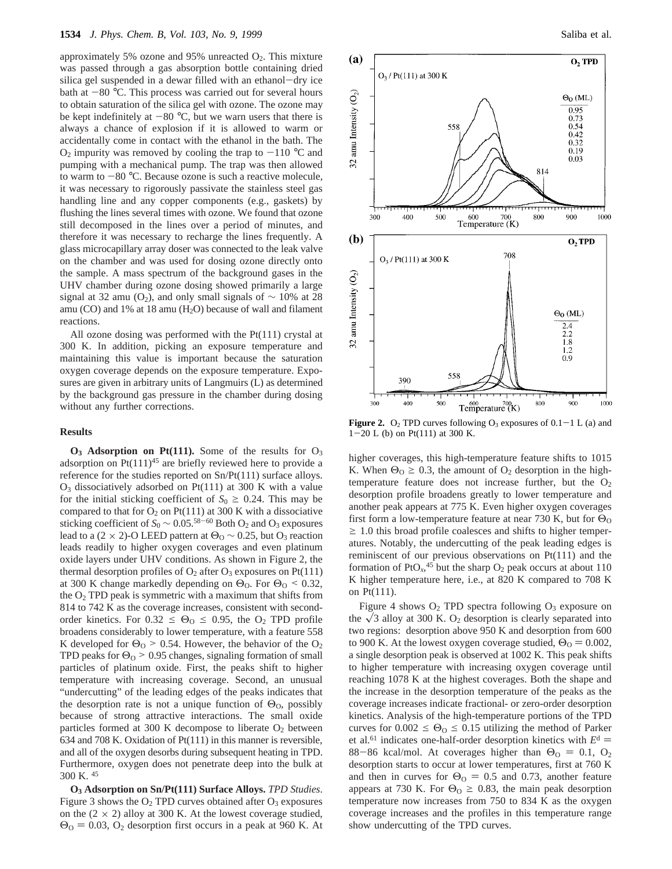approximately 5% ozone and 95% unreacted  $O_2$ . This mixture was passed through a gas absorption bottle containing dried silica gel suspended in a dewar filled with an ethanol-dry ice bath at  $-80$  °C. This process was carried out for several hours to obtain saturation of the silica gel with ozone. The ozone may be kept indefinitely at  $-80$  °C, but we warn users that there is always a chance of explosion if it is allowed to warm or accidentally come in contact with the ethanol in the bath. The  $O_2$  impurity was removed by cooling the trap to  $-110$  °C and pumping with a mechanical pump. The trap was then allowed to warm to  $-80$  °C. Because ozone is such a reactive molecule, it was necessary to rigorously passivate the stainless steel gas handling line and any copper components (e.g., gaskets) by flushing the lines several times with ozone. We found that ozone still decomposed in the lines over a period of minutes, and therefore it was necessary to recharge the lines frequently. A glass microcapillary array doser was connected to the leak valve on the chamber and was used for dosing ozone directly onto the sample. A mass spectrum of the background gases in the UHV chamber during ozone dosing showed primarily a large signal at 32 amu (O<sub>2</sub>), and only small signals of  $\sim$  10% at 28 amu (CO) and  $1\%$  at 18 amu (H<sub>2</sub>O) because of wall and filament reactions.

All ozone dosing was performed with the Pt(111) crystal at 300 K. In addition, picking an exposure temperature and maintaining this value is important because the saturation oxygen coverage depends on the exposure temperature. Exposures are given in arbitrary units of Langmuirs (L) as determined by the background gas pressure in the chamber during dosing without any further corrections.

#### **Results**

 $O_3$  **Adsorption on Pt(111).** Some of the results for  $O_3$ adsorption on  $Pt(111)^{45}$  are briefly reviewed here to provide a reference for the studies reported on Sn/Pt(111) surface alloys.  $O_3$  dissociatively adsorbed on Pt(111) at 300 K with a value for the initial sticking coefficient of  $S_0 \ge 0.24$ . This may be compared to that for  $O_2$  on Pt(111) at 300 K with a dissociative sticking coefficient of  $S_0 \sim 0.05^{58-60}$  Both O<sub>2</sub> and O<sub>3</sub> exposures lead to a (2 × 2)-O LEED pattern at  $\Theta_0$  ~ 0.25, but  $O_3$  reaction leads readily to higher oxygen coverages and even platinum oxide layers under UHV conditions. As shown in Figure 2, the thermal desorption profiles of  $O_2$  after  $O_3$  exposures on Pt(111) at 300 K change markedly depending on  $\Theta_0$ . For  $\Theta_0 \le 0.32$ , the  $O<sub>2</sub>$  TPD peak is symmetric with a maximum that shifts from 814 to 742 K as the coverage increases, consistent with secondorder kinetics. For  $0.32 \leq \Theta_0 \leq 0.95$ , the O<sub>2</sub> TPD profile broadens considerably to lower temperature, with a feature 558 K developed for  $\Theta_0$  > 0.54. However, the behavior of the  $O_2$ TPD peaks for  $\Theta$ <sup>o</sup> > 0.95 changes, signaling formation of small particles of platinum oxide. First, the peaks shift to higher temperature with increasing coverage. Second, an unusual "undercutting" of the leading edges of the peaks indicates that the desorption rate is not a unique function of  $\Theta_0$ , possibly because of strong attractive interactions. The small oxide particles formed at 300 K decompose to liberate  $O_2$  between 634 and 708 K. Oxidation of Pt(111) in this manner is reversible, and all of the oxygen desorbs during subsequent heating in TPD. Furthermore, oxygen does not penetrate deep into the bulk at 300 K. <sup>45</sup>

**O3 Adsorption on Sn/Pt(111) Surface Alloys.** *TPD Studies*. Figure 3 shows the  $O_2$  TPD curves obtained after  $O_3$  exposures on the  $(2 \times 2)$  alloy at 300 K. At the lowest coverage studied,  $\Theta$ <sup>O</sup> = 0.03, O<sub>2</sub> desorption first occurs in a peak at 960 K. At



**Figure 2.** O<sub>2</sub> TPD curves following  $O_3$  exposures of  $0.1-1$  L (a) and <sup>1</sup>-20 L (b) on Pt(111) at 300 K.

higher coverages, this high-temperature feature shifts to 1015 K. When  $\Theta_0 \geq 0.3$ , the amount of  $\Theta_2$  desorption in the hightemperature feature does not increase further, but the  $O_2$ desorption profile broadens greatly to lower temperature and another peak appears at 775 K. Even higher oxygen coverages first form a low-temperature feature at near 730 K, but for  $\Theta_0$  $\geq$  1.0 this broad profile coalesces and shifts to higher temperatures. Notably, the undercutting of the peak leading edges is reminiscent of our previous observations on Pt(111) and the formation of  $PtO<sub>x</sub>$ <sup>45</sup> but the sharp  $O<sub>2</sub>$  peak occurs at about 110 K higher temperature here, i.e., at 820 K compared to 708 K on Pt(111).

Figure 4 shows  $O_2$  TPD spectra following  $O_3$  exposure on the  $\sqrt{3}$  alloy at 300 K. O<sub>2</sub> desorption is clearly separated into two regions: desorption above 950 K and desorption from 600 to 900 K. At the lowest oxygen coverage studied,  $\Theta_0 = 0.002$ , a single desorption peak is observed at 1002 K. This peak shifts to higher temperature with increasing oxygen coverage until reaching 1078 K at the highest coverages. Both the shape and the increase in the desorption temperature of the peaks as the coverage increases indicate fractional- or zero-order desorption kinetics. Analysis of the high-temperature portions of the TPD curves for  $0.002 \le \Theta_0 \le 0.15$  utilizing the method of Parker et al.<sup>61</sup> indicates one-half-order desorption kinetics with  $E<sup>d</sup>$  = 88-86 kcal/mol. At coverages higher than  $\Theta_0 = 0.1, \space O_2$ desorption starts to occur at lower temperatures, first at 760 K and then in curves for  $\Theta_0 = 0.5$  and 0.73, another feature appears at 730 K. For  $\Theta$ <sub>O</sub>  $\geq$  0.83, the main peak desorption temperature now increases from 750 to 834 K as the oxygen coverage increases and the profiles in this temperature range show undercutting of the TPD curves.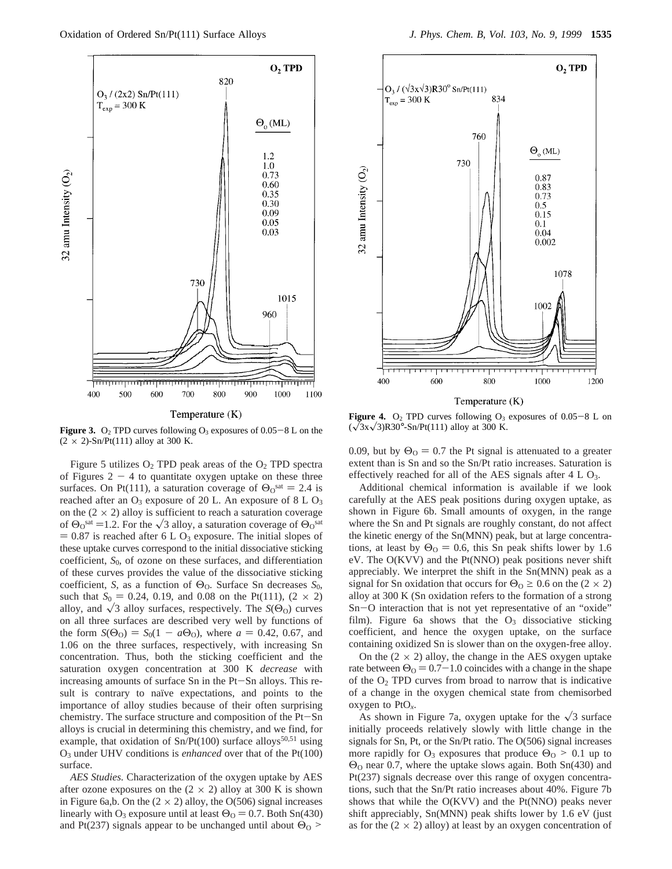

**Figure 3.** O<sub>2</sub> TPD curves following O<sub>3</sub> exposures of  $0.05-8$  L on the  $(2 \times 2)$ -Sn/Pt(111) alloy at 300 K.

Figure 5 utilizes  $O_2$  TPD peak areas of the  $O_2$  TPD spectra of Figures  $2 - 4$  to quantitate oxygen uptake on these three surfaces. On Pt(111), a saturation coverage of  $\Theta_0^{\text{sat}} = 2.4$  is reached after an  $O_3$  exposure of 20 L. An exposure of 8 L  $O_3$ on the  $(2 \times 2)$  alloy is sufficient to reach a saturation coverage of  $\Theta_0^{\text{sat}} = 1.2$ . For the  $\sqrt{3}$  alloy, a saturation coverage of  $\Theta_0^{\text{sat}}$  $= 0.87$  is reached after 6 L O<sub>3</sub> exposure. The initial slopes of these uptake curves correspond to the initial dissociative sticking coefficient, *S*0, of ozone on these surfaces, and differentiation of these curves provides the value of the dissociative sticking coefficient, *S*, as a function of  $\Theta_0$ . Surface Sn decreases  $S_0$ , such that  $S_0 = 0.24$ , 0.19, and 0.08 on the Pt(111),  $(2 \times 2)$ alloy, and  $\sqrt{3}$  alloy surfaces, respectively. The *S*( $\Theta$ <sub>O</sub>) curves on all three surfaces are described very well by functions of the form  $S(\Theta_0) = S_0(1 - a\Theta_0)$ , where  $a = 0.42, 0.67$ , and 1.06 on the three surfaces, respectively, with increasing Sn concentration. Thus, both the sticking coefficient and the saturation oxygen concentration at 300 K *decrease* with increasing amounts of surface Sn in the Pt-Sn alloys. This result is contrary to naïve expectations, and points to the importance of alloy studies because of their often surprising chemistry. The surface structure and composition of the Pt-Sn alloys is crucial in determining this chemistry, and we find, for example, that oxidation of  $Sn/Pt(100)$  surface alloys<sup>50,51</sup> using O3 under UHV conditions is *enhanced* over that of the Pt(100) surface.

*AES Studies.* Characterization of the oxygen uptake by AES after ozone exposures on the  $(2 \times 2)$  alloy at 300 K is shown in Figure 6a,b. On the  $(2 \times 2)$  alloy, the O(506) signal increases linearly with O<sub>3</sub> exposure until at least  $\Theta_{\rm O} = 0.7$ . Both Sn(430) and Pt(237) signals appear to be unchanged until about  $\Theta_0$  >



Temperature  $(K)$ 

**Figure 4.**  $O_2$  TPD curves following  $O_3$  exposures of  $0.05-8$  L on  $(\sqrt{3}x\sqrt{3})R30^{\circ}$ -Sn/Pt(111) alloy at 300 K.

0.09, but by  $\Theta_0 = 0.7$  the Pt signal is attenuated to a greater extent than is Sn and so the Sn/Pt ratio increases. Saturation is effectively reached for all of the AES signals after  $4 L O_3$ .

Additional chemical information is available if we look carefully at the AES peak positions during oxygen uptake, as shown in Figure 6b. Small amounts of oxygen, in the range where the Sn and Pt signals are roughly constant, do not affect the kinetic energy of the Sn(MNN) peak, but at large concentrations, at least by  $\Theta_0 = 0.6$ , this Sn peak shifts lower by 1.6 eV. The O(KVV) and the Pt(NNO) peak positions never shift appreciably. We interpret the shift in the Sn(MNN) peak as a signal for Sn oxidation that occurs for  $\Theta_0 \ge 0.6$  on the (2  $\times$  2) alloy at 300 K (Sn oxidation refers to the formation of a strong Sn-O interaction that is not yet representative of an "oxide" film). Figure 6a shows that the  $O_3$  dissociative sticking coefficient, and hence the oxygen uptake, on the surface containing oxidized Sn is slower than on the oxygen-free alloy.

On the  $(2 \times 2)$  alloy, the change in the AES oxygen uptake rate between  $\Theta_0 = 0.7-1.0$  coincides with a change in the shape of the  $O_2$  TPD curves from broad to narrow that is indicative of a change in the oxygen chemical state from chemisorbed oxygen to PtO*x*.

As shown in Figure 7a, oxygen uptake for the  $\sqrt{3}$  surface initially proceeds relatively slowly with little change in the signals for Sn, Pt, or the Sn/Pt ratio. The O(506) signal increases more rapidly for  $O_3$  exposures that produce  $\Theta_0 > 0.1$  up to Θ<sup>O</sup> near 0.7, where the uptake slows again. Both Sn(430) and Pt(237) signals decrease over this range of oxygen concentrations, such that the Sn/Pt ratio increases about 40%. Figure 7b shows that while the O(KVV) and the Pt(NNO) peaks never shift appreciably, Sn(MNN) peak shifts lower by 1.6 eV (just as for the  $(2 \times 2)$  alloy) at least by an oxygen concentration of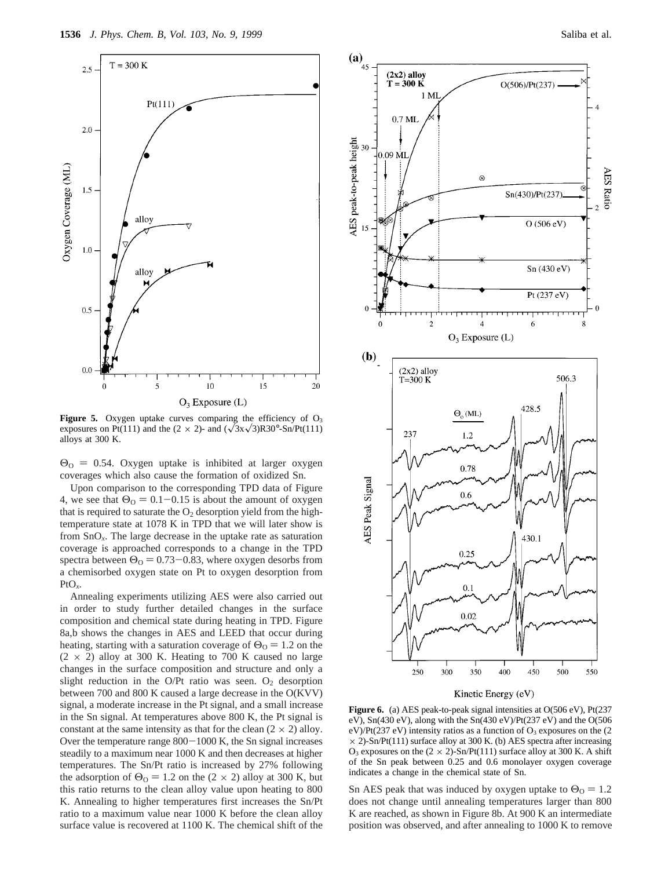

Figure 5. Oxygen uptake curves comparing the efficiency of O<sub>3</sub> exposures on Pt(111) and the (2  $\times$  2)- and ( $\sqrt{3}x\sqrt{3}$ )R30°-Sn/Pt(111) alloys at 300 K.

 $\Theta$ <sup>o</sup> = 0.54. Oxygen uptake is inhibited at larger oxygen coverages which also cause the formation of oxidized Sn.

Upon comparison to the corresponding TPD data of Figure 4, we see that  $\Theta_0 = 0.1 - 0.15$  is about the amount of oxygen that is required to saturate the  $O_2$  desorption yield from the hightemperature state at 1078 K in TPD that we will later show is from SnO*x*. The large decrease in the uptake rate as saturation coverage is approached corresponds to a change in the TPD spectra between  $\Theta_0 = 0.73 - 0.83$ , where oxygen desorbs from a chemisorbed oxygen state on Pt to oxygen desorption from  $PtO_x$ .

Annealing experiments utilizing AES were also carried out in order to study further detailed changes in the surface composition and chemical state during heating in TPD. Figure 8a,b shows the changes in AES and LEED that occur during heating, starting with a saturation coverage of  $\Theta_0 = 1.2$  on the  $(2 \times 2)$  alloy at 300 K. Heating to 700 K caused no large changes in the surface composition and structure and only a slight reduction in the O/Pt ratio was seen.  $O_2$  desorption between 700 and 800 K caused a large decrease in the O(KVV) signal, a moderate increase in the Pt signal, and a small increase in the Sn signal. At temperatures above 800 K, the Pt signal is constant at the same intensity as that for the clean  $(2 \times 2)$  alloy. Over the temperature range  $800-1000$  K, the Sn signal increases steadily to a maximum near 1000 K and then decreases at higher temperatures. The Sn/Pt ratio is increased by 27% following the adsorption of  $\Theta_0 = 1.2$  on the (2 × 2) alloy at 300 K, but this ratio returns to the clean alloy value upon heating to 800 K. Annealing to higher temperatures first increases the Sn/Pt ratio to a maximum value near 1000 K before the clean alloy surface value is recovered at 1100 K. The chemical shift of the



Kinetic Energy (eV)

**Figure 6.** (a) AES peak-to-peak signal intensities at O(506 eV), Pt(237 eV),  $Sn(430 eV)$ , along with the  $Sn(430 eV)/Pt(237 eV)$  and the O(506 eV)/Pt(237 eV) intensity ratios as a function of  $O_3$  exposures on the (2  $\times$  2)-Sn/Pt(111) surface alloy at 300 K. (b) AES spectra after increasing O<sub>3</sub> exposures on the  $(2 \times 2)$ -Sn/Pt(111) surface alloy at 300 K. A shift of the Sn peak between 0.25 and 0.6 monolayer oxygen coverage indicates a change in the chemical state of Sn.

Sn AES peak that was induced by oxygen uptake to  $\Theta_0 = 1.2$ does not change until annealing temperatures larger than 800 K are reached, as shown in Figure 8b. At 900 K an intermediate position was observed, and after annealing to 1000 K to remove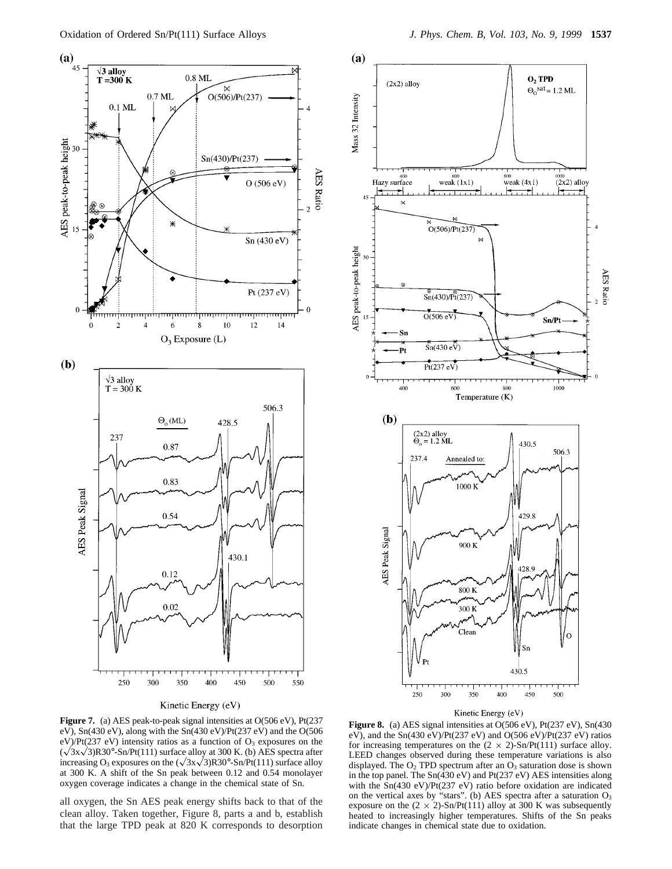

#### Kinetic Energy (eV)

**Figure 7.** (a) AES peak-to-peak signal intensities at O(506 eV), Pt(237 eV), Sn(430 eV), along with the Sn(430 eV)/Pt(237 eV) and the O(506 eV)/Pt(237 eV) intensity ratios as a function of  $O_3$  exposures on the  $(\sqrt{3}x\sqrt{3})R30^\circ$ -Sn/Pt(111) surface alloy at 300 K. (b) AES spectra after increasing O<sub>3</sub> exposures on the  $(\sqrt{3x}\sqrt{3})R30^\circ$ -Sn/Pt(111) surface alloy at 300 K. A shift of the Sn peak between 0.12 and 0.54 monolayer oxygen coverage indicates a change in the chemical state of Sn.

all oxygen, the Sn AES peak energy shifts back to that of the clean alloy. Taken together, Figure 8, parts a and b, establish that the large TPD peak at 820 K corresponds to desorption Mass 32 Intensity



#### Kinetic Energy (eV)

Figure 8. (a) AES signal intensities at O(506 eV), Pt(237 eV), Sn(430 eV), and the Sn(430 eV)/Pt(237 eV) and O(506 eV)/Pt(237 eV) ratios for increasing temperatures on the  $(2 \times 2)$ -Sn/Pt(111) surface alloy. LEED changes observed during these temperature variations is also displayed. The  $O_2$  TPD spectrum after an  $O_3$  saturation dose is shown in the top panel. The Sn(430 eV) and Pt(237 eV) AES intensities along with the Sn(430 eV)/Pt(237 eV) ratio before oxidation are indicated on the vertical axes by "stars". (b) AES spectra after a saturation  $O_3$ exposure on the  $(2 \times 2)$ -Sn/Pt(111) alloy at 300 K was subsequently heated to increasingly higher temperatures. Shifts of the Sn peaks indicate changes in chemical state due to oxidation.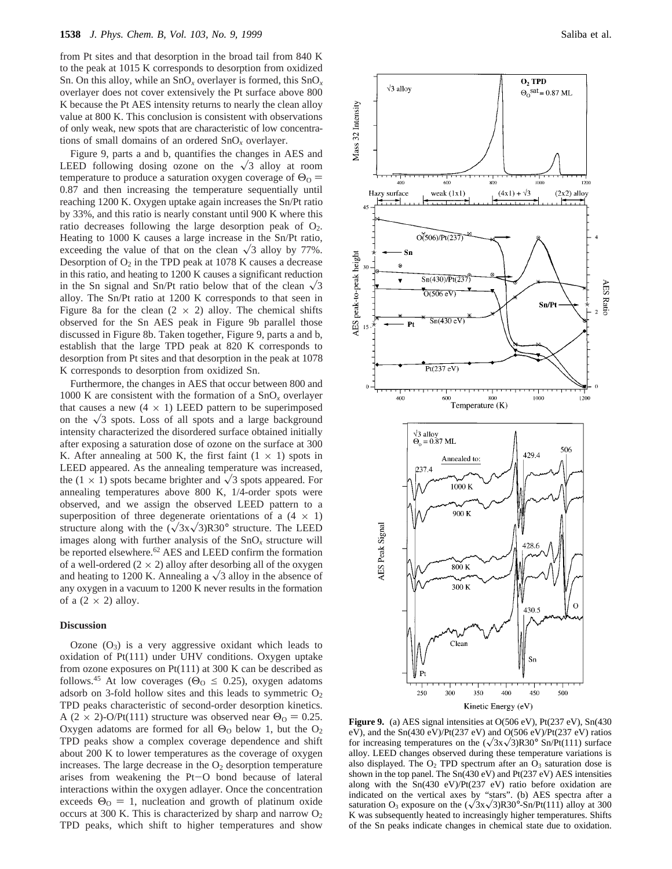from Pt sites and that desorption in the broad tail from 840 K to the peak at 1015 K corresponds to desorption from oxidized Sn. On this alloy, while an SnO*<sup>x</sup>* overlayer is formed, this SnO*<sup>x</sup>* overlayer does not cover extensively the Pt surface above 800 K because the Pt AES intensity returns to nearly the clean alloy value at 800 K. This conclusion is consistent with observations of only weak, new spots that are characteristic of low concentrations of small domains of an ordered SnO*<sup>x</sup>* overlayer.

Figure 9, parts a and b, quantifies the changes in AES and LEED following dosing ozone on the  $\sqrt{3}$  alloy at room temperature to produce a saturation oxygen coverage of  $\Theta_0 =$ 0.87 and then increasing the temperature sequentially until reaching 1200 K. Oxygen uptake again increases the Sn/Pt ratio by 33%, and this ratio is nearly constant until 900 K where this ratio decreases following the large desorption peak of  $O_2$ . Heating to 1000 K causes a large increase in the Sn/Pt ratio, exceeding the value of that on the clean  $\sqrt{3}$  alloy by 77%. Desorption of  $O_2$  in the TPD peak at 1078 K causes a decrease in this ratio, and heating to 1200 K causes a significant reduction in the Sn signal and Sn/Pt ratio below that of the clean  $\sqrt{3}$ alloy. The Sn/Pt ratio at 1200 K corresponds to that seen in Figure 8a for the clean  $(2 \times 2)$  alloy. The chemical shifts observed for the Sn AES peak in Figure 9b parallel those discussed in Figure 8b. Taken together, Figure 9, parts a and b, establish that the large TPD peak at 820 K corresponds to desorption from Pt sites and that desorption in the peak at 1078 K corresponds to desorption from oxidized Sn.

Furthermore, the changes in AES that occur between 800 and 1000 K are consistent with the formation of a  $SnO<sub>x</sub>$  overlayer that causes a new  $(4 \times 1)$  LEED pattern to be superimposed on the  $\sqrt{3}$  spots. Loss of all spots and a large background intensity characterized the disordered surface obtained initially after exposing a saturation dose of ozone on the surface at 300 K. After annealing at 500 K, the first faint  $(1 \times 1)$  spots in LEED appeared. As the annealing temperature was increased, the  $(1 \times 1)$  spots became brighter and  $\sqrt{3}$  spots appeared. For annealing temperatures above 800 K, 1/4-order spots were observed, and we assign the observed LEED pattern to a superposition of three degenerate orientations of a  $(4 \times 1)$ structure along with the  $(\sqrt{3}x\sqrt{3})R30^{\circ}$  structure. The LEED images along with further analysis of the SnO*<sup>x</sup>* structure will be reported elsewhere.<sup>62</sup> AES and LEED confirm the formation of a well-ordered  $(2 \times 2)$  alloy after desorbing all of the oxygen and heating to 1200 K. Annealing a  $\sqrt{3}$  alloy in the absence of any oxygen in a vacuum to 1200 K never results in the formation of a  $(2 \times 2)$  alloy.

### **Discussion**

Ozone  $(O_3)$  is a very aggressive oxidant which leads to oxidation of Pt(111) under UHV conditions. Oxygen uptake from ozone exposures on Pt(111) at 300 K can be described as follows.<sup>45</sup> At low coverages ( $\Theta$ <sup>o</sup>  $\leq$  0.25), oxygen adatoms adsorb on 3-fold hollow sites and this leads to symmetric  $O<sub>2</sub>$ TPD peaks characteristic of second-order desorption kinetics. A (2 × 2)-O/Pt(111) structure was observed near  $\Theta_0 = 0.25$ . Oxygen adatoms are formed for all  $\Theta_0$  below 1, but the  $O_2$ TPD peaks show a complex coverage dependence and shift about 200 K to lower temperatures as the coverage of oxygen increases. The large decrease in the  $O<sub>2</sub>$  desorption temperature arises from weakening the Pt-O bond because of lateral interactions within the oxygen adlayer. Once the concentration exceeds  $\Theta_0 = 1$ , nucleation and growth of platinum oxide occurs at 300 K. This is characterized by sharp and narrow  $O_2$ TPD peaks, which shift to higher temperatures and show



**Figure 9.** (a) AES signal intensities at O(506 eV), Pt(237 eV), Sn(430 eV), and the Sn(430 eV)/Pt(237 eV) and O(506 eV)/Pt(237 eV) ratios for increasing temperatures on the  $(\sqrt{3}x\sqrt{3})R30^{\circ}$  Sn/Pt(111) surface alloy. LEED changes observed during these temperature variations is also displayed. The  $O_2$  TPD spectrum after an  $O_3$  saturation dose is shown in the top panel. The Sn(430 eV) and Pt(237 eV) AES intensities along with the Sn(430 eV)/Pt(237 eV) ratio before oxidation are indicated on the vertical axes by "stars". (b) AES spectra after a saturation  $O_3$  exposure on the  $(\sqrt{3}x\sqrt{3})R30^\circ-Sn/Pt(111)$  alloy at 300 K was subsequently heated to increasingly higher temperatures. Shifts of the Sn peaks indicate changes in chemical state due to oxidation.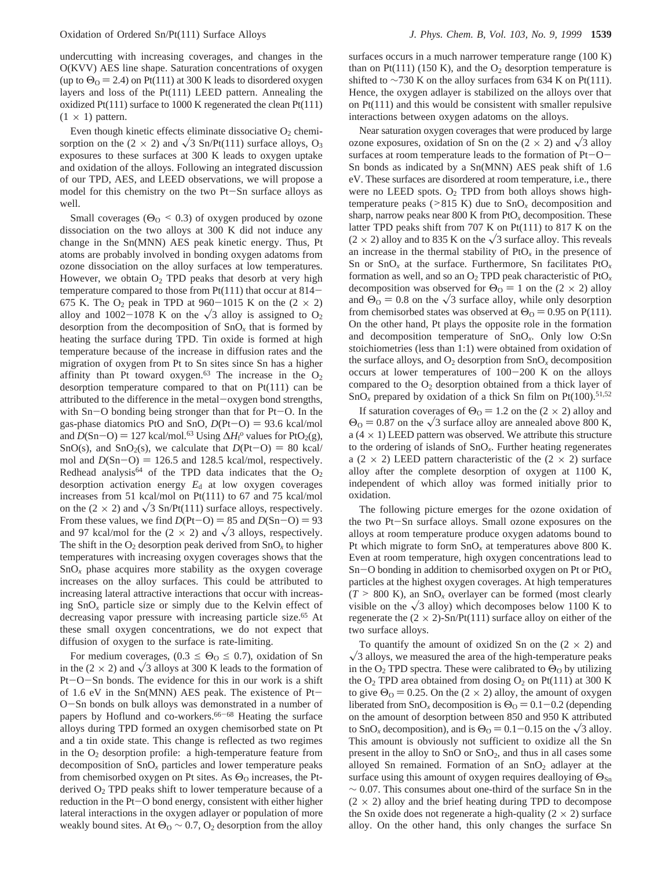undercutting with increasing coverages, and changes in the O(KVV) AES line shape. Saturation concentrations of oxygen (up to  $\Theta_0$  = 2.4) on Pt(111) at 300 K leads to disordered oxygen layers and loss of the Pt(111) LEED pattern. Annealing the oxidized Pt(111) surface to 1000 K regenerated the clean Pt(111)  $(1 \times 1)$  pattern.

Even though kinetic effects eliminate dissociative  $O_2$  chemisorption on the (2  $\times$  2) and  $\sqrt{3}$  Sn/Pt(111) surface alloys, O<sub>3</sub> exposures to these surfaces at 300 K leads to oxygen uptake and oxidation of the alloys. Following an integrated discussion of our TPD, AES, and LEED observations, we will propose a model for this chemistry on the two Pt-Sn surface alloys as well.

Small coverages ( $\Theta_0 \leq 0.3$ ) of oxygen produced by ozone dissociation on the two alloys at 300 K did not induce any change in the Sn(MNN) AES peak kinetic energy. Thus, Pt atoms are probably involved in bonding oxygen adatoms from ozone dissociation on the alloy surfaces at low temperatures. However, we obtain  $O_2$  TPD peaks that desorb at very high temperature compared to those from Pt(111) that occur at 814- 675 K. The  $O_2$  peak in TPD at 960-1015 K on the  $(2 \times 2)$ alloy and 1002-1078 K on the  $\sqrt{3}$  alloy is assigned to O<sub>2</sub> desorption from the decomposition of  $SnO<sub>x</sub>$  that is formed by heating the surface during TPD. Tin oxide is formed at high temperature because of the increase in diffusion rates and the migration of oxygen from Pt to Sn sites since Sn has a higher affinity than Pt toward oxygen.<sup>63</sup> The increase in the  $O_2$ desorption temperature compared to that on Pt(111) can be attributed to the difference in the metal-oxygen bond strengths, with  $Sn-O$  bonding being stronger than that for  $Pt-O$ . In the gas-phase diatomics PtO and SnO,  $D(Pt-O) = 93.6$  kcal/mol and  $D(Sn-O) = 127$  kcal/mol.<sup>63</sup> Using  $\Delta H_1^{\circ}$  values for PtO<sub>2</sub>(g),<br>SnO(s) and SnO<sub>2</sub>(s) we calculate that  $D(Pt-O) = 80$  kcal/ SnO(s), and SnO<sub>2</sub>(s), we calculate that  $D(Pt-O) = 80$  kcal/ mol and  $D(Sn-O) = 126.5$  and 128.5 kcal/mol, respectively. Redhead analysis<sup>64</sup> of the TPD data indicates that the  $O_2$ desorption activation energy  $E_d$  at low oxygen coverages increases from 51 kcal/mol on Pt(111) to 67 and 75 kcal/mol on the (2  $\times$  2) and  $\sqrt{3}$  Sn/Pt(111) surface alloys, respectively. From these values, we find  $D(Pt-O) = 85$  and  $D(Sn-O) = 93$ and 97 kcal/mol for the  $(2 \times 2)$  and  $\sqrt{3}$  alloys, respectively. The shift in the  $O_2$  desorption peak derived from  $SnO_x$  to higher temperatures with increasing oxygen coverages shows that the  $SnO<sub>x</sub>$  phase acquires more stability as the oxygen coverage increases on the alloy surfaces. This could be attributed to increasing lateral attractive interactions that occur with increasing SnO*<sup>x</sup>* particle size or simply due to the Kelvin effect of decreasing vapor pressure with increasing particle size.<sup>65</sup> At these small oxygen concentrations, we do not expect that diffusion of oxygen to the surface is rate-limiting.

For medium coverages,  $(0.3 \leq \Theta_0 \leq 0.7)$ , oxidation of Sn in the (2  $\times$  2) and  $\sqrt{3}$  alloys at 300 K leads to the formation of Pt-O-Sn bonds. The evidence for this in our work is a shift of 1.6 eV in the Sn(MNN) AES peak. The existence of Pt-<sup>O</sup>-Sn bonds on bulk alloys was demonstrated in a number of papers by Hoflund and co-workers.<sup>66-68</sup> Heating the surface alloys during TPD formed an oxygen chemisorbed state on Pt and a tin oxide state. This change is reflected as two regimes in the  $O<sub>2</sub>$  desorption profile: a high-temperature feature from decomposition of SnO*<sup>x</sup>* particles and lower temperature peaks from chemisorbed oxygen on Pt sites. As  $\Theta_0$  increases, the Ptderived  $O<sub>2</sub>$  TPD peaks shift to lower temperature because of a reduction in the Pt-O bond energy, consistent with either higher lateral interactions in the oxygen adlayer or population of more weakly bound sites. At  $\Theta_0 \sim 0.7$ ,  $\Theta_2$  desorption from the alloy

surfaces occurs in a much narrower temperature range (100 K) than on Pt(111) (150 K), and the  $O_2$  desorption temperature is shifted to  $\sim$ 730 K on the alloy surfaces from 634 K on Pt(111). Hence, the oxygen adlayer is stabilized on the alloys over that on Pt(111) and this would be consistent with smaller repulsive interactions between oxygen adatoms on the alloys.

Near saturation oxygen coverages that were produced by large ozone exposures, oxidation of Sn on the  $(2 \times 2)$  and  $\sqrt{3}$  alloy surfaces at room temperature leads to the formation of Pt-O-Sn bonds as indicated by a Sn(MNN) AES peak shift of 1.6 eV. These surfaces are disordered at room temperature, i.e., there were no LEED spots.  $O_2$  TPD from both alloys shows hightemperature peaks ( $>815$  K) due to  $SnO<sub>x</sub>$  decomposition and sharp, narrow peaks near 800 K from PtO*<sup>x</sup>* decomposition. These latter TPD peaks shift from 707 K on Pt(111) to 817 K on the  $(2 \times 2)$  alloy and to 835 K on the  $\sqrt{3}$  surface alloy. This reveals an increase in the thermal stability of  $P<sub>t</sub>O<sub>r</sub>$  in the presence of Sn or  $\text{SnO}_x$  at the surface. Furthermore, Sn facilitates  $\text{PtO}_x$ formation as well, and so an  $O_2$  TPD peak characteristic of  $PfO_x$ decomposition was observed for  $\Theta_0 = 1$  on the (2  $\times$  2) alloy and  $\Theta_0 = 0.8$  on the  $\sqrt{3}$  surface alloy, while only desorption from chemisorbed states was observed at  $\Theta_0 = 0.95$  on P(111). On the other hand, Pt plays the opposite role in the formation and decomposition temperature of SnO*x*. Only low O:Sn stoichiometries (less than 1:1) were obtained from oxidation of the surface alloys, and  $O_2$  desorption from  $SnO_x$  decomposition occurs at lower temperatures of 100-200 K on the alloys compared to the  $O_2$  desorption obtained from a thick layer of  $SnO<sub>x</sub>$  prepared by oxidation of a thick Sn film on Pt(100).<sup>51,52</sup>

If saturation coverages of  $\Theta_0 = 1.2$  on the (2  $\times$  2) alloy and  $\Theta$ <sub>O</sub> = 0.87 on the  $\sqrt{3}$  surface alloy are annealed above 800 K, a  $(4 \times 1)$  LEED pattern was observed. We attribute this structure to the ordering of islands of SnO*x*. Further heating regenerates a (2  $\times$  2) LEED pattern characteristic of the (2  $\times$  2) surface alloy after the complete desorption of oxygen at 1100 K, independent of which alloy was formed initially prior to oxidation.

The following picture emerges for the ozone oxidation of the two Pt-Sn surface alloys. Small ozone exposures on the alloys at room temperature produce oxygen adatoms bound to Pt which migrate to form SnO*<sup>x</sup>* at temperatures above 800 K. Even at room temperature, high oxygen concentrations lead to Sn-O bonding in addition to chemisorbed oxygen on Pt or PtO*<sup>x</sup>* particles at the highest oxygen coverages. At high temperatures  $(T > 800 \text{ K})$ , an SnO<sub>x</sub> overlayer can be formed (most clearly visible on the  $\sqrt{3}$  alloy) which decomposes below 1100 K to regenerate the  $(2 \times 2)$ -Sn/Pt(111) surface alloy on either of the two surface alloys.

To quantify the amount of oxidized Sn on the  $(2 \times 2)$  and  $\sqrt{3}$  alloys, we measured the area of the high-temperature peaks in the  $O_2$  TPD spectra. These were calibrated to  $\Theta_0$  by utilizing the  $O_2$  TPD area obtained from dosing  $O_2$  on Pt(111) at 300 K to give  $\Theta_0 = 0.25$ . On the (2 × 2) alloy, the amount of oxygen liberated from  $\text{SnO}_x$  decomposition is  $\Theta_0 = 0.1 - 0.2$  (depending on the amount of desorption between 850 and 950 K attributed to SnO<sub>x</sub> decomposition), and is  $\Theta_0 = 0.1 - 0.15$  on the  $\sqrt{3}$  alloy. This amount is obviously not sufficient to oxidize all the Sn present in the alloy to SnO or SnO2, and thus in all cases some alloyed Sn remained. Formation of an SnO2 adlayer at the surface using this amount of oxygen requires dealloying of  $\Theta_{\text{Sn}}$  $\sim$  0.07. This consumes about one-third of the surface Sn in the  $(2 \times 2)$  alloy and the brief heating during TPD to decompose the Sn oxide does not regenerate a high-quality  $(2 \times 2)$  surface alloy. On the other hand, this only changes the surface Sn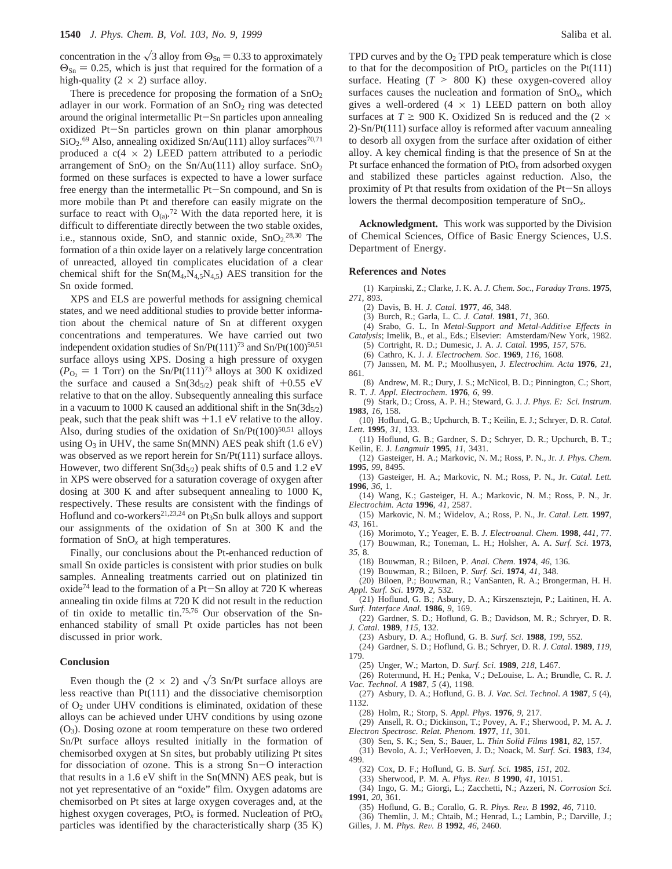concentration in the  $\sqrt{3}$  alloy from  $\Theta_{\text{Sn}} = 0.33$  to approximately  $\Theta_{\text{Sn}} = 0.25$ , which is just that required for the formation of a high-quality  $(2 \times 2)$  surface alloy.

There is precedence for proposing the formation of a  $SnO<sub>2</sub>$ adlayer in our work. Formation of an  $SnO<sub>2</sub>$  ring was detected around the original intermetallic Pt-Sn particles upon annealing oxidized Pt-Sn particles grown on thin planar amorphous  $SiO<sub>2</sub>$ .<sup>69</sup> Also, annealing oxidized Sn/Au(111) alloy surfaces<sup>70,71</sup> produced a  $c(4 \times 2)$  LEED pattern attributed to a periodic arrangement of  $SnO<sub>2</sub>$  on the  $Sn/Au(111)$  alloy surface.  $SnO<sub>2</sub>$ formed on these surfaces is expected to have a lower surface free energy than the intermetallic Pt-Sn compound, and Sn is more mobile than Pt and therefore can easily migrate on the surface to react with  $O_{(a)}$ .<sup>72</sup> With the data reported here, it is difficult to differentiate directly between the two stable oxides, i.e., stannous oxide, SnO, and stannic oxide,  $SnO<sub>2</sub>^{28,30}$  The formation of a thin oxide layer on a relatively large concentration of unreacted, alloyed tin complicates elucidation of a clear chemical shift for the  $Sn(M_4,N_{4.5}N_{4.5})$  AES transition for the Sn oxide formed.

XPS and ELS are powerful methods for assigning chemical states, and we need additional studies to provide better information about the chemical nature of Sn at different oxygen concentrations and temperatures. We have carried out two independent oxidation studies of  $Sn/Pt(111)^{73}$  and  $Sn/Pt(100)^{50,51}$ surface alloys using XPS. Dosing a high pressure of oxygen  $(P<sub>O<sub>2</sub></sub> = 1$  Torr) on the Sn/Pt(111)<sup>73</sup> alloys at 300 K oxidized the surface and caused a  $Sn(3d_{5/2})$  peak shift of  $+0.55$  eV relative to that on the alloy. Subsequently annealing this surface in a vacuum to 1000 K caused an additional shift in the  $Sn(3d_{5/2})$ peak, such that the peak shift was  $+1.1$  eV relative to the alloy. Also, during studies of the oxidation of  $Sn/Pt(100)^{50,51}$  alloys using  $O_3$  in UHV, the same Sn(MNN) AES peak shift (1.6 eV) was observed as we report herein for Sn/Pt(111) surface alloys. However, two different  $\text{Sn}(3d_{5/2})$  peak shifts of 0.5 and 1.2 eV in XPS were observed for a saturation coverage of oxygen after dosing at 300 K and after subsequent annealing to 1000 K, respectively. These results are consistent with the findings of Hoflund and co-workers<sup>21,23,24</sup> on Pt<sub>3</sub>Sn bulk alloys and support our assignments of the oxidation of Sn at 300 K and the formation of  $SnO<sub>x</sub>$  at high temperatures.

Finally, our conclusions about the Pt-enhanced reduction of small Sn oxide particles is consistent with prior studies on bulk samples. Annealing treatments carried out on platinized tin oxide<sup>74</sup> lead to the formation of a Pt-Sn alloy at 720 K whereas annealing tin oxide films at 720 K did not result in the reduction of tin oxide to metallic tin.75,76 Our observation of the Snenhanced stability of small Pt oxide particles has not been discussed in prior work.

### **Conclusion**

Even though the (2  $\times$  2) and  $\sqrt{3}$  Sn/Pt surface alloys are less reactive than Pt(111) and the dissociative chemisorption of  $O<sub>2</sub>$  under UHV conditions is eliminated, oxidation of these alloys can be achieved under UHV conditions by using ozone (O3). Dosing ozone at room temperature on these two ordered Sn/Pt surface alloys resulted initially in the formation of chemisorbed oxygen at Sn sites, but probably utilizing Pt sites for dissociation of ozone. This is a strong Sn-O interaction that results in a 1.6 eV shift in the Sn(MNN) AES peak, but is not yet representative of an "oxide" film. Oxygen adatoms are chemisorbed on Pt sites at large oxygen coverages and, at the highest oxygen coverages, PtO*<sup>x</sup>* is formed. Nucleation of PtO*<sup>x</sup>* particles was identified by the characteristically sharp (35 K)

TPD curves and by the  $O_2$  TPD peak temperature which is close to that for the decomposition of  $P_1O_x$  particles on the  $P_1(111)$ surface. Heating  $(T > 800 \text{ K})$  these oxygen-covered alloy surfaces causes the nucleation and formation of SnO*x*, which gives a well-ordered  $(4 \times 1)$  LEED pattern on both alloy surfaces at  $T \ge 900$  K. Oxidized Sn is reduced and the (2  $\times$ 2)-Sn/Pt(111) surface alloy is reformed after vacuum annealing to desorb all oxygen from the surface after oxidation of either alloy. A key chemical finding is that the presence of Sn at the Pt surface enhanced the formation of PtO*<sup>x</sup>* from adsorbed oxygen and stabilized these particles against reduction. Also, the proximity of Pt that results from oxidation of the Pt-Sn alloys lowers the thermal decomposition temperature of SnO*x*.

**Acknowledgment.** This work was supported by the Division of Chemical Sciences, Office of Basic Energy Sciences, U.S. Department of Energy.

#### **References and Notes**

- (1) Karpinski, Z.; Clarke, J. K. A. *J. Chem. Soc., Faraday Trans*. **1975**, *271*, 893.
	- (2) Davis, B. H. *J. Catal.* **1977**, *46*, 348.
	- (3) Burch, R.; Garla, L. C. *J. Catal*. **1981**, *71*, 360.
- (4) Srabo, G. L. In *Metal-Support and Metal-Additive Effects in Catalysis*; Imelik, B., et al., Eds.; Elsevier: Amsterdam/New York, 1982.
	- (5) Cortright, R. D.; Dumesic, J. A. *J. Catal.* **1995**, *157*, 576.
	- (6) Cathro, K. J. *J. Electrochem. Soc*. **1969**, *116*, 1608.
- (7) Janssen, M. M. P.; Moolhusyen, J. *Electrochim. Acta* **1976**, *21*, 861.
- (8) Andrew, M. R.; Dury, J. S.; McNicol, B. D.; Pinnington, C.; Short, R. T. *J. Appl. Electrochem*. **1976**, *6*, 99.
- (9) Stark, D.; Cross, A. P. H.; Steward, G. J. *J. Phys. E: Sci. Instrum*. **1983**, *16*, 158.
- (10) Hoflund, G. B.; Upchurch, B. T.; Keilin, E. J.; Schryer, D. R. *Catal. Lett*. **1995**, *31*, 133.
- (11) Hoflund, G. B.; Gardner, S. D.; Schryer, D. R.; Upchurch, B. T.; Keilin, E. J. *Langmuir* **1995**, *11*, 3431.
- (12) Gasteiger, H. A.; Markovic, N. M.; Ross, P. N., Jr. *J. Phys. Chem.* **1995**, *99*, 8495.
- (13) Gasteiger, H. A.; Markovic, N. M.; Ross, P. N., Jr. *Catal. Lett.* **1996**, *36*, 1.
- (14) Wang, K.; Gasteiger, H. A.; Markovic, N. M.; Ross, P. N., Jr. *Electrochim. Acta* **1996**, *41*, 2587.
- (15) Markovic, N. M.; Widelov, A.; Ross, P. N., Jr. *Catal. Lett.* **1997**, *43*, 161.
- (16) Morimoto, Y.; Yeager, E. B. *J. Electroanal. Chem.* **1998**, *441*, 77. (17) Bouwman, R.; Toneman, L. H.; Holsher, A. A. *Surf. Sci*. **1973**,
- *35*, 8.
	- (18) Bouwman, R.; Biloen, P. *Anal. Chem*. **1974**, *46*, 136.
	- (19) Bouwman, R.; Biloen, P. *Surf. Sci*. **1974**, *41*, 348.
- (20) Biloen, P.; Bouwman, R.; VanSanten, R. A.; Brongerman, H. H. *Appl. Surf. Sci*. **1979**, *2*, 532.
- (21) Hoflund, G. B.; Asbury, D. A.; Kirszensztejn, P.; Laitinen, H. A. *Surf. Interface Anal.* **1986**, *9*, 169.
	- (22) Gardner, S. D.; Hoflund, G. B.; Davidson, M. R.; Schryer, D. R.
- *J. Catal*. **1989**, *115*, 132.
	- (23) Asbury, D. A.; Hoflund, G. B. *Surf. Sci*. **1988**, *199*, 552. (24) Gardner, S. D.; Hoflund, G. B.; Schryer, D. R. *J. Catal*. **1989**, *119*,
- 179.
- (25) Unger, W.; Marton, D. *Surf. Sci*. **1989**, *218*, L467.
- (26) Rotermund, H. H.; Penka, V.; DeLouise, L. A.; Brundle, C. R. *J. Vac. Technol. A* **1987**, *5* (4), 1198.
- (27) Asbury, D. A.; Hoflund, G. B. *J. Vac. Sci. Technol*. *A* **1987**, *5* (4), 1132.
	- (28) Holm, R.; Storp, S. *Appl. Phys*. **1976**, *9*, 217.
- (29) Ansell, R. O.; Dickinson, T.; Povey, A. F.; Sherwood, P. M. A. *J. Electron Spectrosc. Relat. Phenom.* **1977**, *11*, 301.
- (30) Sen, S. K.; Sen, S.; Bauer, L. *Thin Solid Films* **1981**, *82*, 157.
- (31) Bevolo, A. J.; VerHoeven, J. D.; Noack, M. *Surf. Sci*. **1983**, *134*, 499.
- (32) Cox, D. F.; Hoflund, G. B. *Surf. Sci.* **1985**, *151*, 202.
- (33) Sherwood, P. M. A. *Phys. Re*V*. B* **<sup>1990</sup>**, *<sup>41</sup>*, 10151.
- (34) Ingo, G. M.; Giorgi, L.; Zacchetti, N.; Azzeri, N. *Corrosion Sci.* **1991**, *20*, 361.
- (35) Hoflund, G. B.; Corallo, G. R. *Phys. Re*V*. B* **<sup>1992</sup>**, *<sup>46</sup>*, 7110.
- (36) Themlin, J. M.; Chtaib, M.; Henrad, L.; Lambin, P.; Darville, J.; Gilles, J. M. *Phys. Re*V*. B* **<sup>1992</sup>**, *<sup>46</sup>*, 2460.